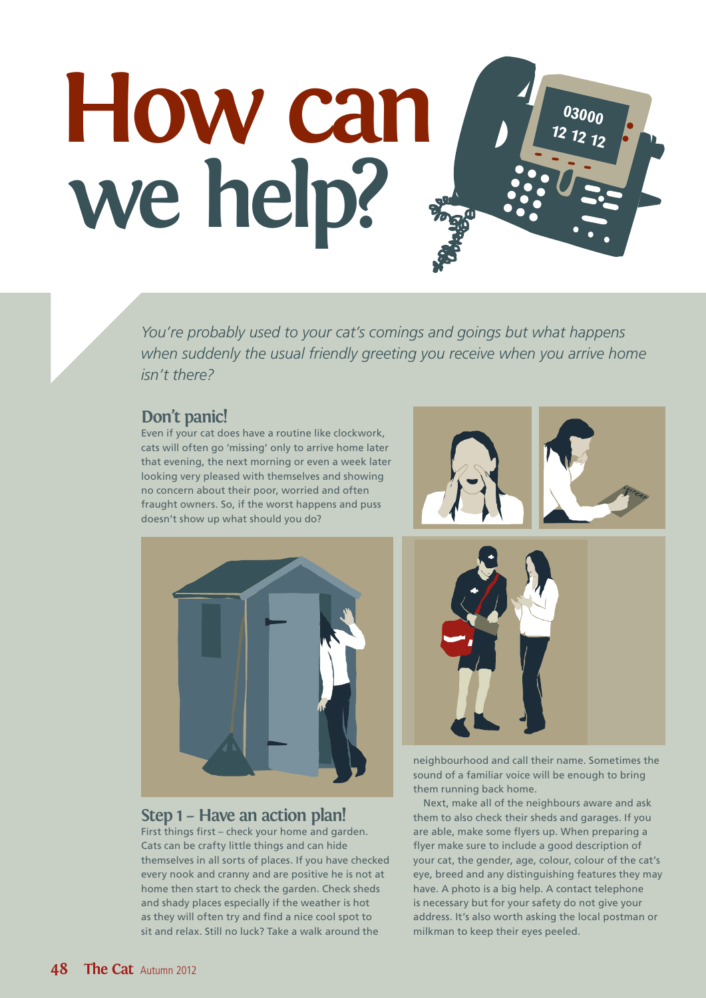# **03000 12 12 12 How can we help?**

*You're probably used to your cat's comings and goings but what happens when suddenly the usual friendly greeting you receive when you arrive home isn't there?*

## **Don't panic!**

Even if your cat does have a routine like clockwork, cats will often go 'missing' only to arrive home later that evening, the next morning or even a week later looking very pleased with themselves and showing no concern about their poor, worried and often fraught owners. So, if the worst happens and puss doesn't show up what should you do?





## **Step 1 – Have an action plan!**

First things first – check your home and garden. Cats can be crafty little things and can hide themselves in all sorts of places. If you have checked every nook and cranny and are positive he is not at home then start to check the garden. Check sheds and shady places especially if the weather is hot as they will often try and find a nice cool spot to sit and relax. Still no luck? Take a walk around the



neighbourhood and call their name. Sometimes the sound of a familiar voice will be enough to bring them running back home.

Next, make all of the neighbours aware and ask them to also check their sheds and garages. If you are able, make some flyers up. When preparing a flyer make sure to include a good description of your cat, the gender, age, colour, colour of the cat's eye, breed and any distinguishing features they may have. A photo is a big help. A contact telephone is necessary but for your safety do not give your address. It's also worth asking the local postman or milkman to keep their eyes peeled.